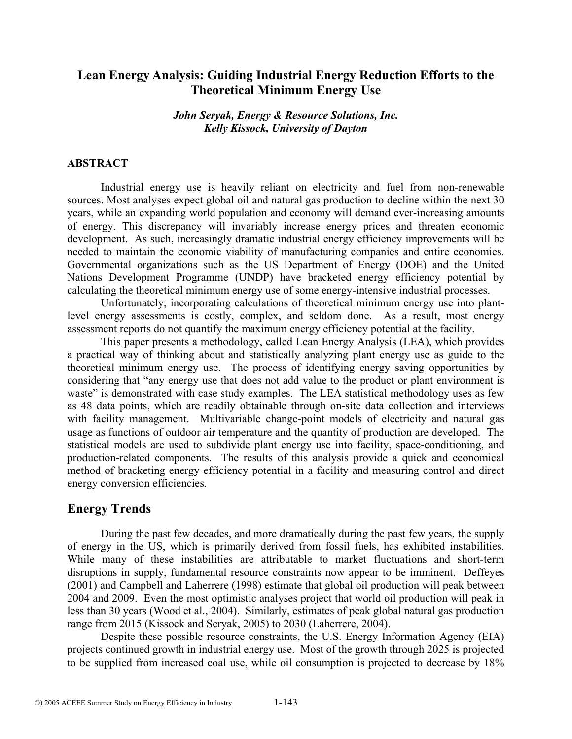# **Lean Energy Analysis: Guiding Industrial Energy Reduction Efforts to the Theoretical Minimum Energy Use**

### *John Seryak, Energy & Resource Solutions, Inc. Kelly Kissock, University of Dayton*

### **ABSTRACT**

Industrial energy use is heavily reliant on electricity and fuel from non-renewable sources. Most analyses expect global oil and natural gas production to decline within the next 30 years, while an expanding world population and economy will demand ever-increasing amounts of energy. This discrepancy will invariably increase energy prices and threaten economic development. As such, increasingly dramatic industrial energy efficiency improvements will be needed to maintain the economic viability of manufacturing companies and entire economies. Governmental organizations such as the US Department of Energy (DOE) and the United Nations Development Programme (UNDP) have bracketed energy efficiency potential by calculating the theoretical minimum energy use of some energy-intensive industrial processes.

Unfortunately, incorporating calculations of theoretical minimum energy use into plantlevel energy assessments is costly, complex, and seldom done. As a result, most energy assessment reports do not quantify the maximum energy efficiency potential at the facility.

This paper presents a methodology, called Lean Energy Analysis (LEA), which provides a practical way of thinking about and statistically analyzing plant energy use as guide to the theoretical minimum energy use. The process of identifying energy saving opportunities by considering that "any energy use that does not add value to the product or plant environment is waste" is demonstrated with case study examples. The LEA statistical methodology uses as few as 48 data points, which are readily obtainable through on-site data collection and interviews with facility management. Multivariable change-point models of electricity and natural gas usage as functions of outdoor air temperature and the quantity of production are developed. The statistical models are used to subdivide plant energy use into facility, space-conditioning, and production-related components. The results of this analysis provide a quick and economical method of bracketing energy efficiency potential in a facility and measuring control and direct energy conversion efficiencies.

## **Energy Trends**

During the past few decades, and more dramatically during the past few years, the supply of energy in the US, which is primarily derived from fossil fuels, has exhibited instabilities. While many of these instabilities are attributable to market fluctuations and short-term disruptions in supply, fundamental resource constraints now appear to be imminent. Deffeyes (2001) and Campbell and Laherrere (1998) estimate that global oil production will peak between 2004 and 2009. Even the most optimistic analyses project that world oil production will peak in less than 30 years (Wood et al., 2004). Similarly, estimates of peak global natural gas production range from 2015 (Kissock and Seryak, 2005) to 2030 (Laherrere, 2004).

Despite these possible resource constraints, the U.S. Energy Information Agency (EIA) projects continued growth in industrial energy use. Most of the growth through 2025 is projected to be supplied from increased coal use, while oil consumption is projected to decrease by 18%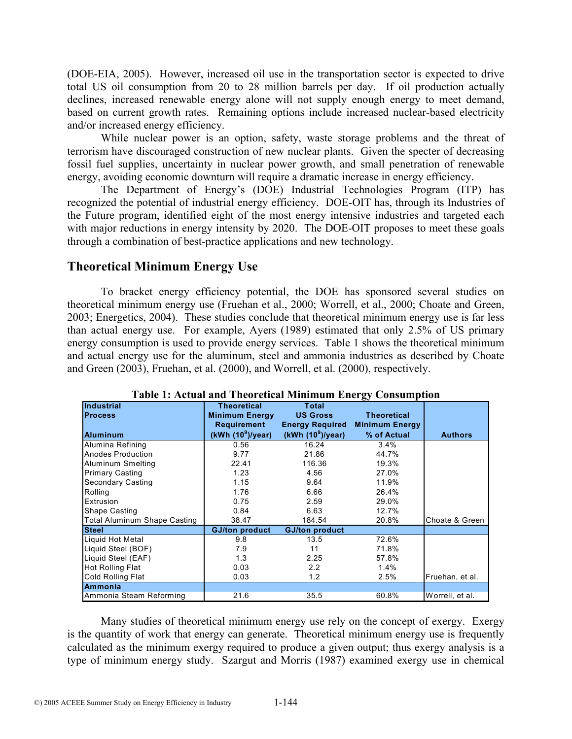(DOE-EIA, 2005). However, increased oil use in the transportation sector is expected to drive total US oil consumption from 20 to 28 million barrels per day. If oil production actually declines, increased renewable energy alone will not supply enough energy to meet demand, based on current growth rates. Remaining options include increased nuclear-based electricity and/or increased energy efficiency.

While nuclear power is an option, safety, waste storage problems and the threat of terrorism have discouraged construction of new nuclear plants. Given the specter of decreasing fossil fuel supplies, uncertainty in nuclear power growth, and small penetration of renewable energy, avoiding economic downturn will require a dramatic increase in energy efficiency.

The Department of Energy's (DOE) Industrial Technologies Program (ITP) has recognized the potential of industrial energy efficiency. DOE-OIT has, through its Industries of the Future program, identified eight of the most energy intensive industries and targeted each with major reductions in energy intensity by 2020. The DOE-OIT proposes to meet these goals through a combination of best-practice applications and new technology.

# **Theoretical Minimum Energy Use**

To bracket energy efficiency potential, the DOE has sponsored several studies on theoretical minimum energy use (Fruehan et al., 2000; Worrell, et al., 2000; Choate and Green, 2003; Energetics, 2004). These studies conclude that theoretical minimum energy use is far less than actual energy use. For example, Ayers (1989) estimated that only 2.5% of US primary energy consumption is used to provide energy services. Table 1 shows the theoretical minimum and actual energy use for the aluminum, steel and ammonia industries as described by Choate and Green (2003), Fruehan, et al. (2000), and Worrell, et al. (2000), respectively.

| <b>Industrial</b>            | <b>Theoretical</b>    | <b>Total</b>           |                       |                 |
|------------------------------|-----------------------|------------------------|-----------------------|-----------------|
| <b>Process</b>               | <b>Minimum Energy</b> | <b>US Gross</b>        | <b>Theoretical</b>    |                 |
|                              | Requirement           | <b>Energy Required</b> | <b>Minimum Energy</b> |                 |
| <b>Aluminum</b>              | (kWh $(10^9)$ /year)  | (kWh $(10^9)$ /year)   | % of Actual           | <b>Authors</b>  |
| Alumina Refining             | 0.56                  | 16.24                  | 3.4%                  |                 |
| Anodes Production            | 9.77                  | 21.86                  | 44.7%                 |                 |
| Aluminum Smelting            | 22.41                 | 116.36                 | 19.3%                 |                 |
| <b>Primary Casting</b>       | 1.23                  | 4.56                   | 27.0%                 |                 |
| <b>Secondary Casting</b>     | 1.15                  | 9.64                   | 11.9%                 |                 |
| Rolling                      | 1.76                  | 6.66                   | 26.4%                 |                 |
| Extrusion                    | 0.75                  | 2.59                   | 29.0%                 |                 |
| <b>Shape Casting</b>         | 0.84                  | 6.63                   | 12.7%                 |                 |
| Total Aluminum Shape Casting | 38.47                 | 184.54                 | 20.8%                 | Choate & Green  |
| <b>Steel</b>                 | <b>GJ/ton product</b> | <b>GJ/ton product</b>  |                       |                 |
| Liquid Hot Metal             | 9.8                   | 13.5                   | 72.6%                 |                 |
| Liquid Steel (BOF)           | 7.9                   | 11                     | 71.8%                 |                 |
| Liquid Steel (EAF)           | 1.3                   | 2.25                   | 57.8%                 |                 |
| <b>Hot Rolling Flat</b>      | 0.03                  | $2.2^{\circ}$          | 1.4%                  |                 |
| Cold Rolling Flat            | 0.03                  | 1.2                    | 2.5%                  | Fruehan, et al. |
| Ammonia                      |                       |                        |                       |                 |
| Ammonia Steam Reforming      | 21.6                  | 35.5                   | 60.8%                 | Worrell, et al. |

**Table 1: Actual and Theoretical Minimum Energy Consumption** 

Many studies of theoretical minimum energy use rely on the concept of exergy. Exergy is the quantity of work that energy can generate. Theoretical minimum energy use is frequently calculated as the minimum exergy required to produce a given output; thus exergy analysis is a type of minimum energy study. Szargut and Morris (1987) examined exergy use in chemical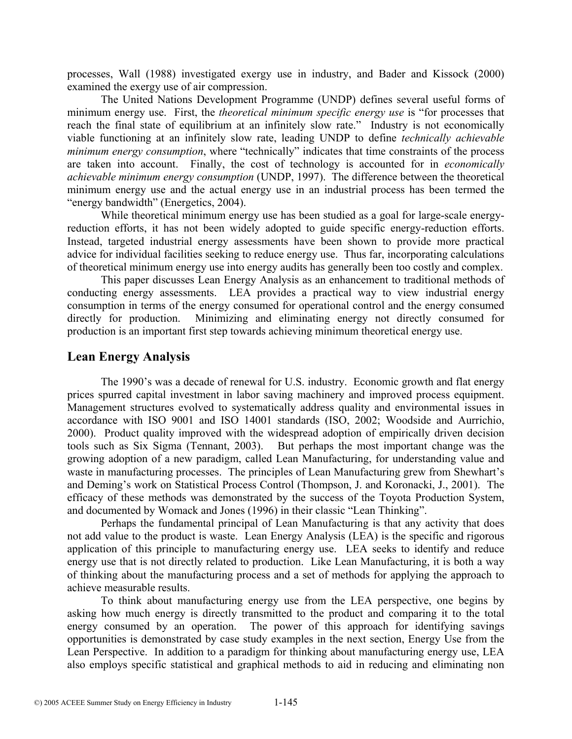processes, Wall (1988) investigated exergy use in industry, and Bader and Kissock (2000) examined the exergy use of air compression.

The United Nations Development Programme (UNDP) defines several useful forms of minimum energy use. First, the *theoretical minimum specific energy use* is "for processes that reach the final state of equilibrium at an infinitely slow rate." Industry is not economically viable functioning at an infinitely slow rate, leading UNDP to define *technically achievable minimum energy consumption*, where "technically" indicates that time constraints of the process are taken into account. Finally, the cost of technology is accounted for in *economically achievable minimum energy consumption* (UNDP, 1997). The difference between the theoretical minimum energy use and the actual energy use in an industrial process has been termed the "energy bandwidth" (Energetics, 2004).

While theoretical minimum energy use has been studied as a goal for large-scale energyreduction efforts, it has not been widely adopted to guide specific energy-reduction efforts. Instead, targeted industrial energy assessments have been shown to provide more practical advice for individual facilities seeking to reduce energy use. Thus far, incorporating calculations of theoretical minimum energy use into energy audits has generally been too costly and complex.

This paper discusses Lean Energy Analysis as an enhancement to traditional methods of conducting energy assessments. LEA provides a practical way to view industrial energy consumption in terms of the energy consumed for operational control and the energy consumed directly for production. Minimizing and eliminating energy not directly consumed for production is an important first step towards achieving minimum theoretical energy use.

### **Lean Energy Analysis**

The 1990's was a decade of renewal for U.S. industry. Economic growth and flat energy prices spurred capital investment in labor saving machinery and improved process equipment. Management structures evolved to systematically address quality and environmental issues in accordance with ISO 9001 and ISO 14001 standards (ISO, 2002; Woodside and Aurrichio, 2000). Product quality improved with the widespread adoption of empirically driven decision tools such as Six Sigma (Tennant, 2003). But perhaps the most important change was the growing adoption of a new paradigm, called Lean Manufacturing, for understanding value and waste in manufacturing processes. The principles of Lean Manufacturing grew from Shewhart's and Deming's work on Statistical Process Control (Thompson, J. and Koronacki, J., 2001). The efficacy of these methods was demonstrated by the success of the Toyota Production System, and documented by Womack and Jones (1996) in their classic "Lean Thinking".

Perhaps the fundamental principal of Lean Manufacturing is that any activity that does not add value to the product is waste. Lean Energy Analysis (LEA) is the specific and rigorous application of this principle to manufacturing energy use. LEA seeks to identify and reduce energy use that is not directly related to production. Like Lean Manufacturing, it is both a way of thinking about the manufacturing process and a set of methods for applying the approach to achieve measurable results.

To think about manufacturing energy use from the LEA perspective, one begins by asking how much energy is directly transmitted to the product and comparing it to the total energy consumed by an operation. The power of this approach for identifying savings opportunities is demonstrated by case study examples in the next section, Energy Use from the Lean Perspective. In addition to a paradigm for thinking about manufacturing energy use, LEA also employs specific statistical and graphical methods to aid in reducing and eliminating non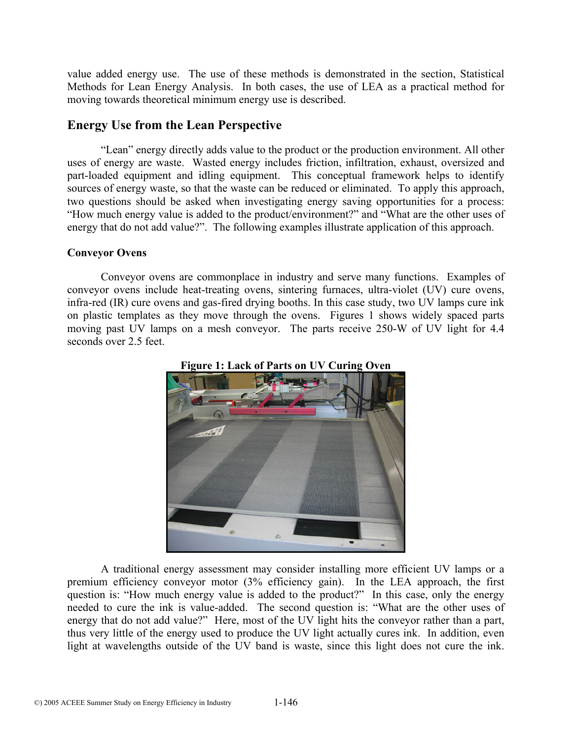value added energy use. The use of these methods is demonstrated in the section, Statistical Methods for Lean Energy Analysis. In both cases, the use of LEA as a practical method for moving towards theoretical minimum energy use is described.

## **Energy Use from the Lean Perspective**

"Lean" energy directly adds value to the product or the production environment. All other uses of energy are waste. Wasted energy includes friction, infiltration, exhaust, oversized and part-loaded equipment and idling equipment. This conceptual framework helps to identify sources of energy waste, so that the waste can be reduced or eliminated. To apply this approach, two questions should be asked when investigating energy saving opportunities for a process: "How much energy value is added to the product/environment?" and "What are the other uses of energy that do not add value?". The following examples illustrate application of this approach.

### **Conveyor Ovens**

Conveyor ovens are commonplace in industry and serve many functions. Examples of conveyor ovens include heat-treating ovens, sintering furnaces, ultra-violet (UV) cure ovens, infra-red (IR) cure ovens and gas-fired drying booths. In this case study, two UV lamps cure ink on plastic templates as they move through the ovens. Figures 1 shows widely spaced parts moving past UV lamps on a mesh conveyor. The parts receive 250-W of UV light for 4.4 seconds over 2.5 feet.





A traditional energy assessment may consider installing more efficient UV lamps or a premium efficiency conveyor motor (3% efficiency gain). In the LEA approach, the first question is: "How much energy value is added to the product?" In this case, only the energy needed to cure the ink is value-added. The second question is: "What are the other uses of energy that do not add value?" Here, most of the UV light hits the conveyor rather than a part, thus very little of the energy used to produce the UV light actually cures ink. In addition, even light at wavelengths outside of the UV band is waste, since this light does not cure the ink.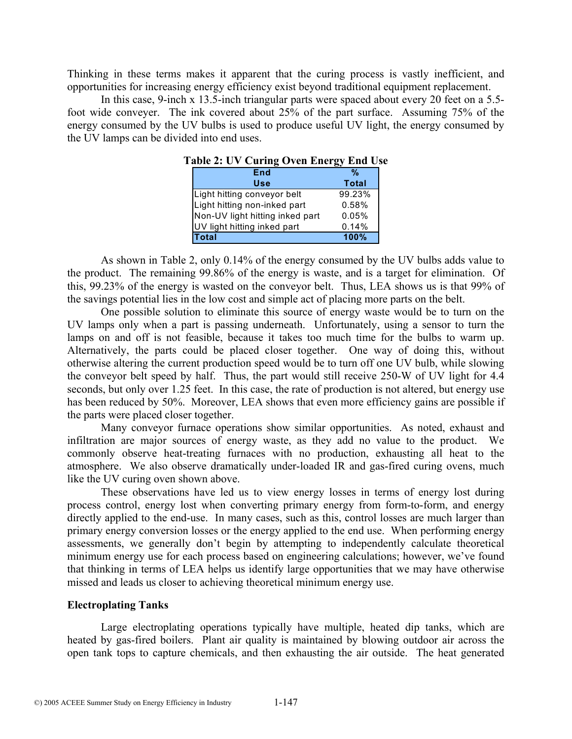Thinking in these terms makes it apparent that the curing process is vastly inefficient, and opportunities for increasing energy efficiency exist beyond traditional equipment replacement.

In this case, 9-inch x 13.5-inch triangular parts were spaced about every 20 feet on a 5.5 foot wide conveyer. The ink covered about 25% of the part surface. Assuming 75% of the energy consumed by the UV bulbs is used to produce useful UV light, the energy consumed by the UV lamps can be divided into end uses.

| able 2. $\sigma$ $\alpha$ caring $\sigma$ and $\sigma$ can be extended. |        |  |  |  |
|-------------------------------------------------------------------------|--------|--|--|--|
| End                                                                     | %      |  |  |  |
| Use                                                                     | Total  |  |  |  |
| Light hitting conveyor belt                                             | 99.23% |  |  |  |
| Light hitting non-inked part                                            | 0.58%  |  |  |  |
| Non-UV light hitting inked part                                         | 0.05%  |  |  |  |
| UV light hitting inked part                                             | 0.14%  |  |  |  |
| <b>Total</b>                                                            | 100%   |  |  |  |

**Table 2: UV Curing Oven Energy End Use** 

As shown in Table 2, only 0.14% of the energy consumed by the UV bulbs adds value to the product. The remaining 99.86% of the energy is waste, and is a target for elimination. Of this, 99.23% of the energy is wasted on the conveyor belt. Thus, LEA shows us is that 99% of the savings potential lies in the low cost and simple act of placing more parts on the belt.

One possible solution to eliminate this source of energy waste would be to turn on the UV lamps only when a part is passing underneath. Unfortunately, using a sensor to turn the lamps on and off is not feasible, because it takes too much time for the bulbs to warm up. Alternatively, the parts could be placed closer together. One way of doing this, without otherwise altering the current production speed would be to turn off one UV bulb, while slowing the conveyor belt speed by half. Thus, the part would still receive 250-W of UV light for 4.4 seconds, but only over 1.25 feet. In this case, the rate of production is not altered, but energy use has been reduced by 50%. Moreover, LEA shows that even more efficiency gains are possible if the parts were placed closer together.

Many conveyor furnace operations show similar opportunities. As noted, exhaust and infiltration are major sources of energy waste, as they add no value to the product. We commonly observe heat-treating furnaces with no production, exhausting all heat to the atmosphere. We also observe dramatically under-loaded IR and gas-fired curing ovens, much like the UV curing oven shown above.

These observations have led us to view energy losses in terms of energy lost during process control, energy lost when converting primary energy from form-to-form, and energy directly applied to the end-use. In many cases, such as this, control losses are much larger than primary energy conversion losses or the energy applied to the end use. When performing energy assessments, we generally don't begin by attempting to independently calculate theoretical minimum energy use for each process based on engineering calculations; however, we've found that thinking in terms of LEA helps us identify large opportunities that we may have otherwise missed and leads us closer to achieving theoretical minimum energy use.

#### **Electroplating Tanks**

Large electroplating operations typically have multiple, heated dip tanks, which are heated by gas-fired boilers. Plant air quality is maintained by blowing outdoor air across the open tank tops to capture chemicals, and then exhausting the air outside. The heat generated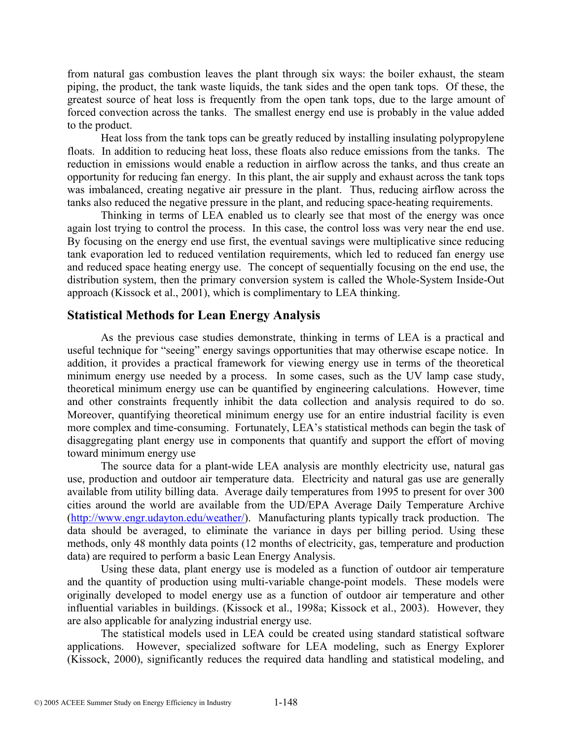from natural gas combustion leaves the plant through six ways: the boiler exhaust, the steam piping, the product, the tank waste liquids, the tank sides and the open tank tops. Of these, the greatest source of heat loss is frequently from the open tank tops, due to the large amount of forced convection across the tanks. The smallest energy end use is probably in the value added to the product.

Heat loss from the tank tops can be greatly reduced by installing insulating polypropylene floats. In addition to reducing heat loss, these floats also reduce emissions from the tanks. The reduction in emissions would enable a reduction in airflow across the tanks, and thus create an opportunity for reducing fan energy. In this plant, the air supply and exhaust across the tank tops was imbalanced, creating negative air pressure in the plant. Thus, reducing airflow across the tanks also reduced the negative pressure in the plant, and reducing space-heating requirements.

Thinking in terms of LEA enabled us to clearly see that most of the energy was once again lost trying to control the process. In this case, the control loss was very near the end use. By focusing on the energy end use first, the eventual savings were multiplicative since reducing tank evaporation led to reduced ventilation requirements, which led to reduced fan energy use and reduced space heating energy use. The concept of sequentially focusing on the end use, the distribution system, then the primary conversion system is called the Whole-System Inside-Out approach (Kissock et al., 2001), which is complimentary to LEA thinking.

### **Statistical Methods for Lean Energy Analysis**

As the previous case studies demonstrate, thinking in terms of LEA is a practical and useful technique for "seeing" energy savings opportunities that may otherwise escape notice. In addition, it provides a practical framework for viewing energy use in terms of the theoretical minimum energy use needed by a process. In some cases, such as the UV lamp case study, theoretical minimum energy use can be quantified by engineering calculations. However, time and other constraints frequently inhibit the data collection and analysis required to do so. Moreover, quantifying theoretical minimum energy use for an entire industrial facility is even more complex and time-consuming. Fortunately, LEA's statistical methods can begin the task of disaggregating plant energy use in components that quantify and support the effort of moving toward minimum energy use

The source data for a plant-wide LEA analysis are monthly electricity use, natural gas use, production and outdoor air temperature data. Electricity and natural gas use are generally available from utility billing data. Average daily temperatures from 1995 to present for over 300 cities around the world are available from the UD/EPA Average Daily Temperature Archive (http://www.engr.udayton.edu/weather/). Manufacturing plants typically track production. The data should be averaged, to eliminate the variance in days per billing period. Using these methods, only 48 monthly data points (12 months of electricity, gas, temperature and production data) are required to perform a basic Lean Energy Analysis.

Using these data, plant energy use is modeled as a function of outdoor air temperature and the quantity of production using multi-variable change-point models. These models were originally developed to model energy use as a function of outdoor air temperature and other influential variables in buildings. (Kissock et al., 1998a; Kissock et al., 2003). However, they are also applicable for analyzing industrial energy use.

The statistical models used in LEA could be created using standard statistical software applications. However, specialized software for LEA modeling, such as Energy Explorer (Kissock, 2000), significantly reduces the required data handling and statistical modeling, and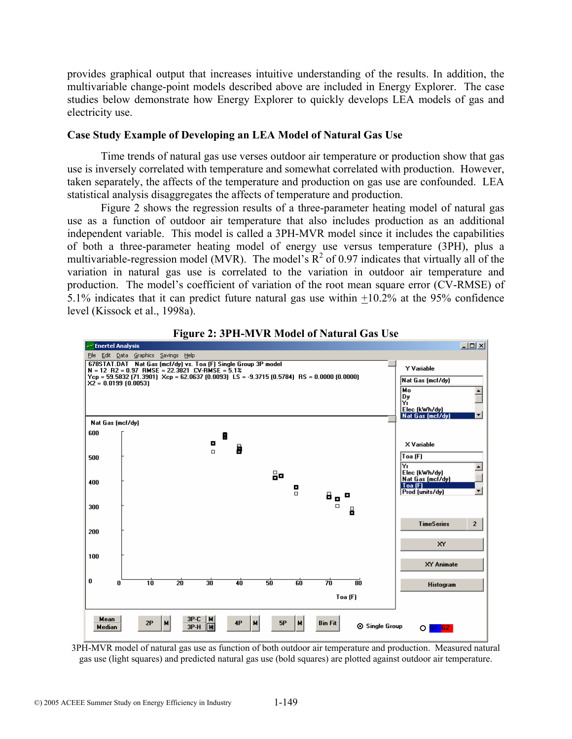provides graphical output that increases intuitive understanding of the results. In addition, the multivariable change-point models described above are included in Energy Explorer. The case studies below demonstrate how Energy Explorer to quickly develops LEA models of gas and electricity use.

#### **Case Study Example of Developing an LEA Model of Natural Gas Use**

Time trends of natural gas use verses outdoor air temperature or production show that gas use is inversely correlated with temperature and somewhat correlated with production. However, taken separately, the affects of the temperature and production on gas use are confounded. LEA statistical analysis disaggregates the affects of temperature and production.

Figure 2 shows the regression results of a three-parameter heating model of natural gas use as a function of outdoor air temperature that also includes production as an additional independent variable. This model is called a 3PH-MVR model since it includes the capabilities of both a three-parameter heating model of energy use versus temperature (3PH), plus a multivariable-regression model (MVR). The model's  $R^2$  of 0.97 indicates that virtually all of the variation in natural gas use is correlated to the variation in outdoor air temperature and production. The model's coefficient of variation of the root mean square error (CV-RMSE) of 5.1% indicates that it can predict future natural gas use within +10.2% at the 95% confidence level (Kissock et al., 1998a).



**Figure 2: 3PH-MVR Model of Natural Gas Use** 

3PH-MVR model of natural gas use as function of both outdoor air temperature and production. Measured natural gas use (light squares) and predicted natural gas use (bold squares) are plotted against outdoor air temperature.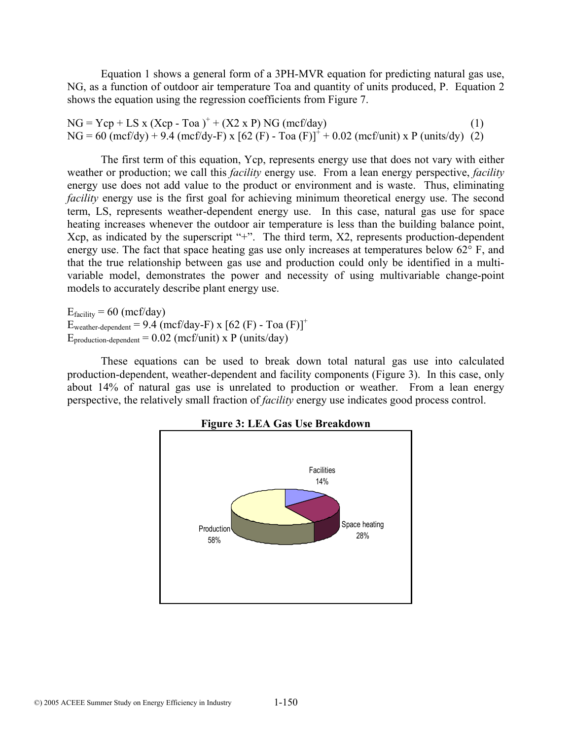Equation 1 shows a general form of a 3PH-MVR equation for predicting natural gas use, NG, as a function of outdoor air temperature Toa and quantity of units produced, P. Equation 2 shows the equation using the regression coefficients from Figure 7.

 $NG = Ycp + LS \times (Xcp - Toa)^+ + (X2 \times P) NG (mcf/day)$  (1)  $NG = 60$  (mcf/dy) + 9.4 (mcf/dy-F) x [62 (F) - Toa (F)]<sup> $+$ </sup> + 0.02 (mcf/unit) x P (units/dy) (2)

The first term of this equation, Ycp, represents energy use that does not vary with either weather or production; we call this *facility* energy use. From a lean energy perspective, *facility* energy use does not add value to the product or environment and is waste. Thus, eliminating *facility* energy use is the first goal for achieving minimum theoretical energy use. The second term, LS, represents weather-dependent energy use. In this case, natural gas use for space heating increases whenever the outdoor air temperature is less than the building balance point, Xcp, as indicated by the superscript "+". The third term, X2, represents production-dependent energy use. The fact that space heating gas use only increases at temperatures below 62° F, and that the true relationship between gas use and production could only be identified in a multivariable model, demonstrates the power and necessity of using multivariable change-point models to accurately describe plant energy use.

 $E_{\text{facility}} = 60 \text{ (mcf/day)}$  $E_{weather-dependent} = 9.4 (mcf/day-F) \times [62 (F) - Toa (F)]^{+}$  $E_{\text{production-dependent}} = 0.02 \text{ (mcf/unit) x P (units/day)}$ 

These equations can be used to break down total natural gas use into calculated production-dependent, weather-dependent and facility components (Figure 3). In this case, only about 14% of natural gas use is unrelated to production or weather. From a lean energy perspective, the relatively small fraction of *facility* energy use indicates good process control.



**Figure 3: LEA Gas Use Breakdown**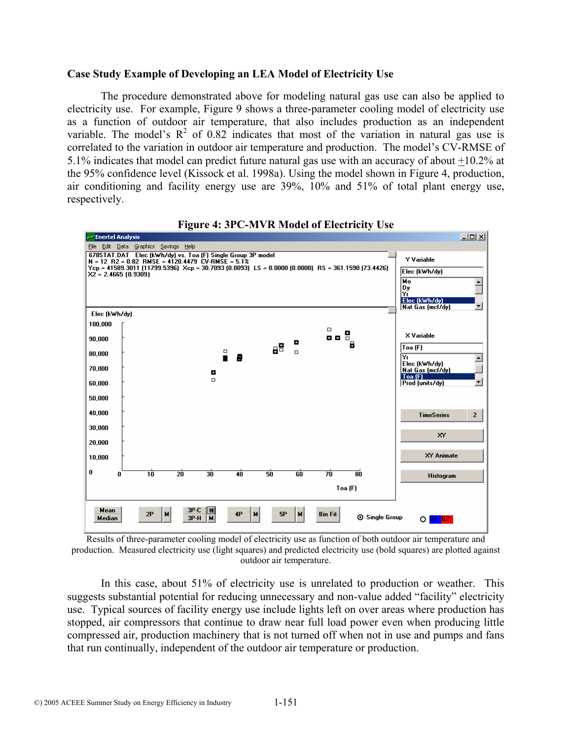#### **Case Study Example of Developing an LEA Model of Electricity Use**

The procedure demonstrated above for modeling natural gas use can also be applied to electricity use. For example, Figure 9 shows a three-parameter cooling model of electricity use as a function of outdoor air temperature, that also includes production as an independent variable. The model's  $\mathbb{R}^2$  of 0.82 indicates that most of the variation in natural gas use is correlated to the variation in outdoor air temperature and production. The model's CV-RMSE of 5.1% indicates that model can predict future natural gas use with an accuracy of about +10.2% at the 95% confidence level (Kissock et al. 1998a). Using the model shown in Figure 4, production, air conditioning and facility energy use are 39%, 10% and 51% of total plant energy use, respectively.



**Figure 4: 3PC-MVR Model of Electricity Use** 

Results of three-parameter cooling model of electricity use as function of both outdoor air temperature and production. Measured electricity use (light squares) and predicted electricity use (bold squares) are plotted against outdoor air temperature.

In this case, about 51% of electricity use is unrelated to production or weather. This suggests substantial potential for reducing unnecessary and non-value added "facility" electricity use. Typical sources of facility energy use include lights left on over areas where production has stopped, air compressors that continue to draw near full load power even when producing little compressed air, production machinery that is not turned off when not in use and pumps and fans that run continually, independent of the outdoor air temperature or production.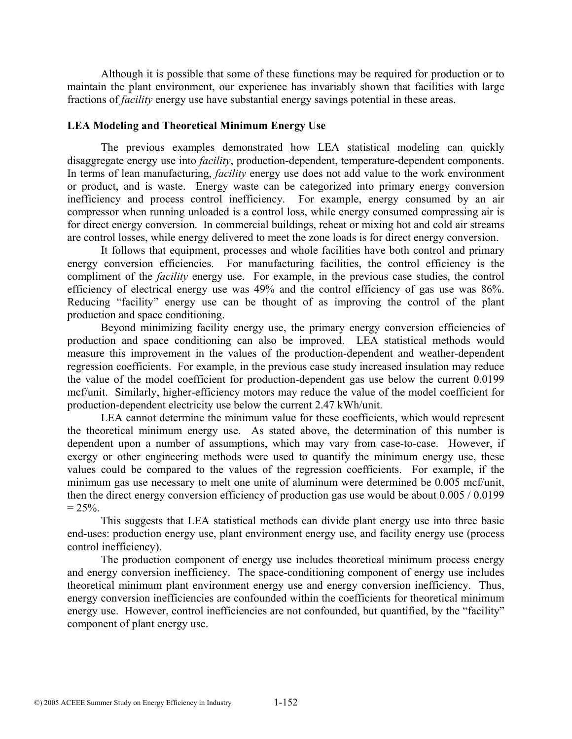Although it is possible that some of these functions may be required for production or to maintain the plant environment, our experience has invariably shown that facilities with large fractions of *facility* energy use have substantial energy savings potential in these areas.

#### **LEA Modeling and Theoretical Minimum Energy Use**

The previous examples demonstrated how LEA statistical modeling can quickly disaggregate energy use into *facility*, production-dependent, temperature-dependent components. In terms of lean manufacturing, *facility* energy use does not add value to the work environment or product, and is waste. Energy waste can be categorized into primary energy conversion inefficiency and process control inefficiency. For example, energy consumed by an air compressor when running unloaded is a control loss, while energy consumed compressing air is for direct energy conversion. In commercial buildings, reheat or mixing hot and cold air streams are control losses, while energy delivered to meet the zone loads is for direct energy conversion.

It follows that equipment, processes and whole facilities have both control and primary energy conversion efficiencies. For manufacturing facilities, the control efficiency is the compliment of the *facility* energy use. For example, in the previous case studies, the control efficiency of electrical energy use was 49% and the control efficiency of gas use was 86%. Reducing "facility" energy use can be thought of as improving the control of the plant production and space conditioning.

Beyond minimizing facility energy use, the primary energy conversion efficiencies of production and space conditioning can also be improved. LEA statistical methods would measure this improvement in the values of the production-dependent and weather-dependent regression coefficients. For example, in the previous case study increased insulation may reduce the value of the model coefficient for production-dependent gas use below the current 0.0199 mcf/unit. Similarly, higher-efficiency motors may reduce the value of the model coefficient for production-dependent electricity use below the current 2.47 kWh/unit.

LEA cannot determine the minimum value for these coefficients, which would represent the theoretical minimum energy use. As stated above, the determination of this number is dependent upon a number of assumptions, which may vary from case-to-case. However, if exergy or other engineering methods were used to quantify the minimum energy use, these values could be compared to the values of the regression coefficients. For example, if the minimum gas use necessary to melt one unite of aluminum were determined be 0.005 mcf/unit, then the direct energy conversion efficiency of production gas use would be about 0.005 / 0.0199  $= 25\%$ .

This suggests that LEA statistical methods can divide plant energy use into three basic end-uses: production energy use, plant environment energy use, and facility energy use (process control inefficiency).

The production component of energy use includes theoretical minimum process energy and energy conversion inefficiency. The space-conditioning component of energy use includes theoretical minimum plant environment energy use and energy conversion inefficiency. Thus, energy conversion inefficiencies are confounded within the coefficients for theoretical minimum energy use. However, control inefficiencies are not confounded, but quantified, by the "facility" component of plant energy use.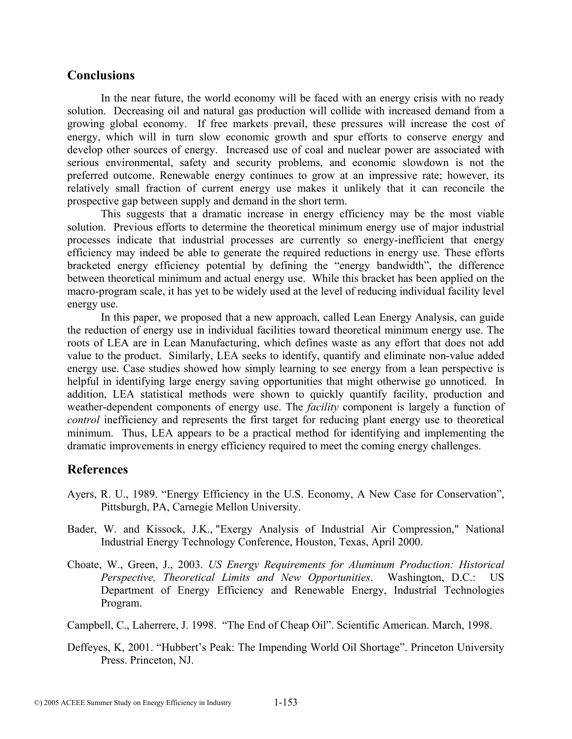### **Conclusions**

In the near future, the world economy will be faced with an energy crisis with no ready solution. Decreasing oil and natural gas production will collide with increased demand from a growing global economy. If free markets prevail, these pressures will increase the cost of energy, which will in turn slow economic growth and spur efforts to conserve energy and develop other sources of energy. Increased use of coal and nuclear power are associated with serious environmental, safety and security problems, and economic slowdown is not the preferred outcome. Renewable energy continues to grow at an impressive rate; however, its relatively small fraction of current energy use makes it unlikely that it can reconcile the prospective gap between supply and demand in the short term.

This suggests that a dramatic increase in energy efficiency may be the most viable solution. Previous efforts to determine the theoretical minimum energy use of major industrial processes indicate that industrial processes are currently so energy-inefficient that energy efficiency may indeed be able to generate the required reductions in energy use. These efforts bracketed energy efficiency potential by defining the "energy bandwidth", the difference between theoretical minimum and actual energy use. While this bracket has been applied on the macro-program scale, it has yet to be widely used at the level of reducing individual facility level energy use.

In this paper, we proposed that a new approach, called Lean Energy Analysis, can guide the reduction of energy use in individual facilities toward theoretical minimum energy use. The roots of LEA are in Lean Manufacturing, which defines waste as any effort that does not add value to the product. Similarly, LEA seeks to identify, quantify and eliminate non-value added energy use. Case studies showed how simply learning to see energy from a lean perspective is helpful in identifying large energy saving opportunities that might otherwise go unnoticed. In addition, LEA statistical methods were shown to quickly quantify facility, production and weather-dependent components of energy use. The *facility* component is largely a function of *control* inefficiency and represents the first target for reducing plant energy use to theoretical minimum. Thus, LEA appears to be a practical method for identifying and implementing the dramatic improvements in energy efficiency required to meet the coming energy challenges.

# **References**

- Ayers, R. U., 1989. "Energy Efficiency in the U.S. Economy, A New Case for Conservation", Pittsburgh, PA, Carnegie Mellon University.
- Bader, W. and Kissock, J.K., "Exergy Analysis of Industrial Air Compression," National Industrial Energy Technology Conference, Houston, Texas, April 2000.
- Choate, W., Green, J., 2003. *US Energy Requirements for Aluminum Production: Historical Perspective, Theoretical Limits and New Opportunities*. Washington, D.C.: US Department of Energy Efficiency and Renewable Energy, Industrial Technologies Program.
- Campbell, C., Laherrere, J. 1998. "The End of Cheap Oil". Scientific American. March, 1998.
- Deffeyes, K, 2001. "Hubbert's Peak: The Impending World Oil Shortage". Princeton University Press. Princeton, NJ.